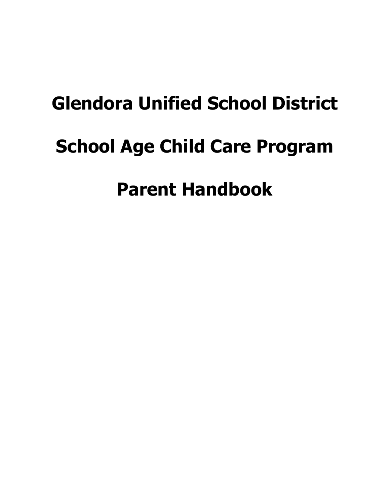# **Glendora Unified School District School Age Child Care Program Parent Handbook**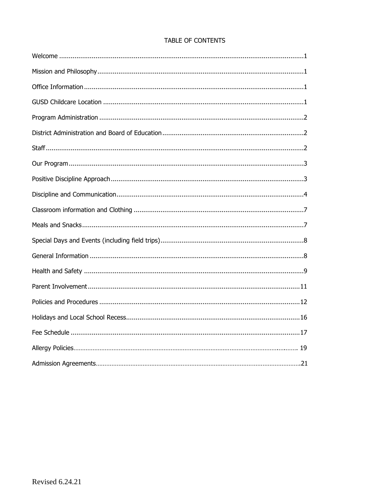|  | <b>TABLE OF CONTENTS</b> |
|--|--------------------------|
|  |                          |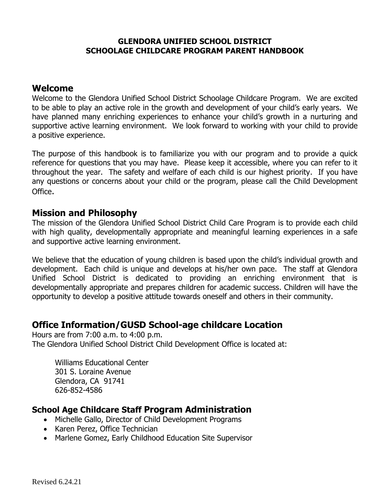#### **GLENDORA UNIFIED SCHOOL DISTRICT SCHOOLAGE CHILDCARE PROGRAM PARENT HANDBOOK**

## **Welcome**

Welcome to the Glendora Unified School District Schoolage Childcare Program. We are excited to be able to play an active role in the growth and development of your child's early years. We have planned many enriching experiences to enhance your child's growth in a nurturing and supportive active learning environment. We look forward to working with your child to provide a positive experience.

The purpose of this handbook is to familiarize you with our program and to provide a quick reference for questions that you may have. Please keep it accessible, where you can refer to it throughout the year. The safety and welfare of each child is our highest priority. If you have any questions or concerns about your child or the program, please call the Child Development Office.

## **Mission and Philosophy**

The mission of the Glendora Unified School District Child Care Program is to provide each child with high quality, developmentally appropriate and meaningful learning experiences in a safe and supportive active learning environment.

We believe that the education of young children is based upon the child's individual growth and development. Each child is unique and develops at his/her own pace. The staff at Glendora Unified School District is dedicated to providing an enriching environment that is developmentally appropriate and prepares children for academic success. Children will have the opportunity to develop a positive attitude towards oneself and others in their community.

# **Office Information/GUSD School-age childcare Location**

Hours are from 7:00 a.m. to 4:00 p.m. The Glendora Unified School District Child Development Office is located at:

Williams Educational Center 301 S. Loraine Avenue Glendora, CA 91741 626-852-4586

## **School Age Childcare Staff Program Administration**

- Michelle Gallo, Director of Child Development Programs
- Karen Perez, Office Technician
- Marlene Gomez, Early Childhood Education Site Supervisor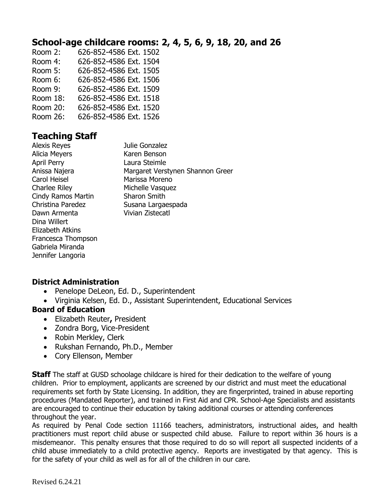# **School-age childcare rooms: 2, 4, 5, 6, 9, 18, 20, and 26**

Room 2: 626-852-4586 Ext. 1502 Room 4: 626-852-4586 Ext. 1504 Room 5: 626-852-4586 Ext. 1505 Room 6: 626-852-4586 Ext. 1506 Room 9: 626-852-4586 Ext. 1509 Room 18: 626-852-4586 Ext. 1518 Room 20: 626-852-4586 Ext. 1520 Room 26: 626-852-4586 Ext. 1526

# **Teaching Staff**

| <b>Alexis Reyes</b>       | Julie Gonzalez                   |
|---------------------------|----------------------------------|
| Alicia Meyers             | Karen Benson                     |
| <b>April Perry</b>        | Laura Steimle                    |
| Anissa Najera             | Margaret Verstynen Shannon Greer |
| Carol Heisel              | Marissa Moreno                   |
| <b>Charlee Riley</b>      | Michelle Vasquez                 |
| <b>Cindy Ramos Martin</b> | <b>Sharon Smith</b>              |
| Christina Paredez         | Susana Largaespada               |
| Dawn Armenta              | <b>Vivian Zistecatl</b>          |
| Dina Willert              |                                  |
| Elizabeth Atkins          |                                  |
| Francesca Thompson        |                                  |
| Gabriela Miranda          |                                  |
| Jennifer Langoria         |                                  |
|                           |                                  |

## **District Administration**

- Penelope DeLeon, Ed. D., Superintendent
- Virginia Kelsen, Ed. D., Assistant Superintendent, Educational Services

## **Board of Education**

- Elizabeth Reuter**,** President
- Zondra Borg, Vice-President
- Robin Merkley, Clerk
- Rukshan Fernando, Ph.D., Member
- Cory Ellenson, Member

**Staff** The staff at GUSD schoolage childcare is hired for their dedication to the welfare of young children. Prior to employment, applicants are screened by our district and must meet the educational requirements set forth by State Licensing. In addition, they are fingerprinted, trained in abuse reporting procedures (Mandated Reporter), and trained in First Aid and CPR. School-Age Specialists and assistants are encouraged to continue their education by taking additional courses or attending conferences throughout the year.

As required by Penal Code section 11166 teachers, administrators, instructional aides, and health practitioners must report child abuse or suspected child abuse. Failure to report within 36 hours is a misdemeanor. This penalty ensures that those required to do so will report all suspected incidents of a child abuse immediately to a child protective agency. Reports are investigated by that agency. This is for the safety of your child as well as for all of the children in our care.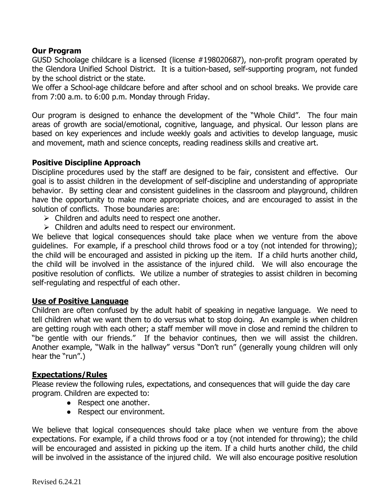## **Our Program**

GUSD Schoolage childcare is a licensed (license #198020687), non-profit program operated by the Glendora Unified School District. It is a tuition-based, self-supporting program, not funded by the school district or the state.

We offer a School-age childcare before and after school and on school breaks. We provide care from 7:00 a.m. to 6:00 p.m. Monday through Friday.

Our program is designed to enhance the development of the "Whole Child". The four main areas of growth are social/emotional, cognitive, language, and physical. Our lesson plans are based on key experiences and include weekly goals and activities to develop language, music and movement, math and science concepts, reading readiness skills and creative art.

### **Positive Discipline Approach**

Discipline procedures used by the staff are designed to be fair, consistent and effective. Our goal is to assist children in the development of self-discipline and understanding of appropriate behavior. By setting clear and consistent guidelines in the classroom and playground, children have the opportunity to make more appropriate choices, and are encouraged to assist in the solution of conflicts. Those boundaries are:

- $\triangleright$  Children and adults need to respect one another.
- $\triangleright$  Children and adults need to respect our environment.

We believe that logical consequences should take place when we venture from the above guidelines. For example, if a preschool child throws food or a toy (not intended for throwing); the child will be encouraged and assisted in picking up the item. If a child hurts another child, the child will be involved in the assistance of the injured child. We will also encourage the positive resolution of conflicts. We utilize a number of strategies to assist children in becoming self-regulating and respectful of each other.

## **Use of Positive Language**

Children are often confused by the adult habit of speaking in negative language. We need to tell children what we want them to do versus what to stop doing. An example is when children are getting rough with each other; a staff member will move in close and remind the children to "be gentle with our friends." If the behavior continues, then we will assist the children. Another example, "Walk in the hallway" versus "Don't run" (generally young children will only hear the "run".)

#### **Expectations/Rules**

Please review the following rules, expectations, and consequences that will guide the day care program. Children are expected to:

- Respect one another.
- Respect our environment.

We believe that logical consequences should take place when we venture from the above expectations. For example, if a child throws food or a toy (not intended for throwing); the child will be encouraged and assisted in picking up the item. If a child hurts another child, the child will be involved in the assistance of the injured child. We will also encourage positive resolution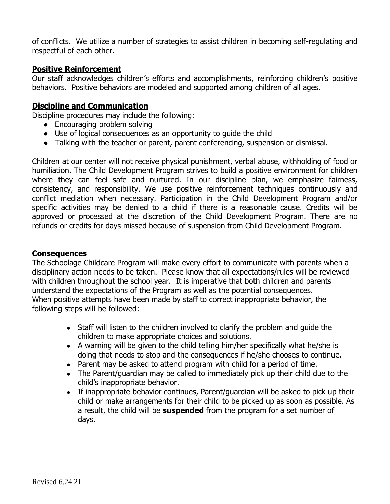of conflicts. We utilize a number of strategies to assist children in becoming self-regulating and respectful of each other.

## **Positive Reinforcement**

Our staff acknowledges-children's efforts and accomplishments, reinforcing children's positive behaviors. Positive behaviors are modeled and supported among children of all ages.

### **Discipline and Communication**

Discipline procedures may include the following:

- Encouraging problem solving
- Use of logical consequences as an opportunity to guide the child
- Talking with the teacher or parent, parent conferencing, suspension or dismissal.

Children at our center will not receive physical punishment, verbal abuse, withholding of food or humiliation. The Child Development Program strives to build a positive environment for children where they can feel safe and nurtured. In our discipline plan, we emphasize fairness, consistency, and responsibility. We use positive reinforcement techniques continuously and conflict mediation when necessary. Participation in the Child Development Program and/or specific activities may be denied to a child if there is a reasonable cause. Credits will be approved or processed at the discretion of the Child Development Program. There are no refunds or credits for days missed because of suspension from Child Development Program.

#### **Consequences**

The Schoolage Childcare Program will make every effort to communicate with parents when a disciplinary action needs to be taken. Please know that all expectations/rules will be reviewed with children throughout the school year. It is imperative that both children and parents understand the expectations of the Program as well as the potential consequences. When positive attempts have been made by staff to correct inappropriate behavior, the following steps will be followed:

- Staff will listen to the children involved to clarify the problem and quide the children to make appropriate choices and solutions.
- A warning will be given to the child telling him/her specifically what he/she is doing that needs to stop and the consequences if he/she chooses to continue.
- Parent may be asked to attend program with child for a period of time.
- The Parent/guardian may be called to immediately pick up their child due to the child's inappropriate behavior.
- If inappropriate behavior continues, Parent/guardian will be asked to pick up their child or make arrangements for their child to be picked up as soon as possible. As a result, the child will be **suspended** from the program for a set number of days.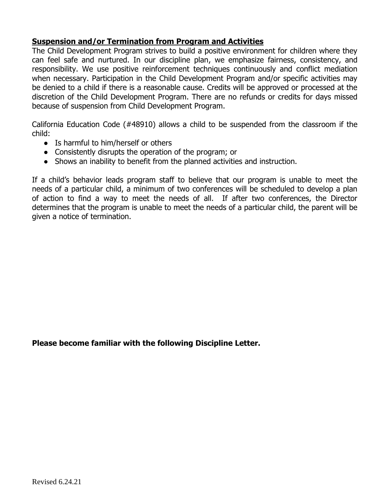## **Suspension and/or Termination from Program and Activities**

The Child Development Program strives to build a positive environment for children where they can feel safe and nurtured. In our discipline plan, we emphasize fairness, consistency, and responsibility. We use positive reinforcement techniques continuously and conflict mediation when necessary. Participation in the Child Development Program and/or specific activities may be denied to a child if there is a reasonable cause. Credits will be approved or processed at the discretion of the Child Development Program. There are no refunds or credits for days missed because of suspension from Child Development Program.

California Education Code (#48910) allows a child to be suspended from the classroom if the child:

- Is harmful to him/herself or others
- Consistently disrupts the operation of the program; or
- Shows an inability to benefit from the planned activities and instruction.

If a child's behavior leads program staff to believe that our program is unable to meet the needs of a particular child, a minimum of two conferences will be scheduled to develop a plan of action to find a way to meet the needs of all. If after two conferences, the Director determines that the program is unable to meet the needs of a particular child, the parent will be given a notice of termination.

**Please become familiar with the following Discipline Letter.**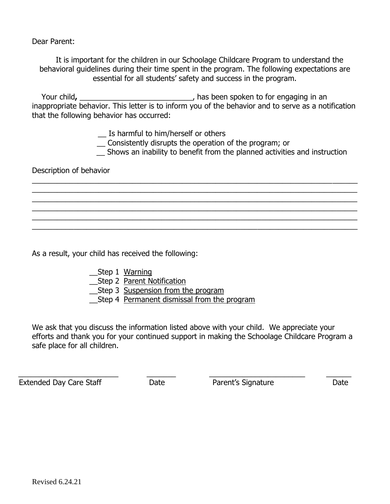Dear Parent:

It is important for the children in our Schoolage Childcare Program to understand the behavioral guidelines during their time spent in the program. The following expectations are essential for all students' safety and success in the program.

Your child, \_\_\_\_\_\_\_\_\_\_\_\_\_\_\_\_\_\_\_\_\_\_\_\_\_\_\_\_\_\_\_\_\_\_, has been spoken to for engaging in an inappropriate behavior. This letter is to inform you of the behavior and to serve as a notification that the following behavior has occurred:

\_\_ Is harmful to him/herself or others

\_\_ Consistently disrupts the operation of the program; or

\_\_\_\_\_\_\_\_\_\_\_\_\_\_\_\_\_\_\_\_\_\_\_\_\_\_\_\_\_\_\_\_\_\_\_\_\_\_\_\_\_\_\_\_\_\_\_\_\_\_\_\_\_\_\_\_\_\_\_\_\_\_\_\_\_\_\_\_\_\_\_\_\_\_\_\_\_\_ \_\_\_\_\_\_\_\_\_\_\_\_\_\_\_\_\_\_\_\_\_\_\_\_\_\_\_\_\_\_\_\_\_\_\_\_\_\_\_\_\_\_\_\_\_\_\_\_\_\_\_\_\_\_\_\_\_\_\_\_\_\_\_\_\_\_\_\_\_\_\_\_\_\_\_\_\_\_ \_\_\_\_\_\_\_\_\_\_\_\_\_\_\_\_\_\_\_\_\_\_\_\_\_\_\_\_\_\_\_\_\_\_\_\_\_\_\_\_\_\_\_\_\_\_\_\_\_\_\_\_\_\_\_\_\_\_\_\_\_\_\_\_\_\_\_\_\_\_\_\_\_\_\_\_\_\_ \_\_\_\_\_\_\_\_\_\_\_\_\_\_\_\_\_\_\_\_\_\_\_\_\_\_\_\_\_\_\_\_\_\_\_\_\_\_\_\_\_\_\_\_\_\_\_\_\_\_\_\_\_\_\_\_\_\_\_\_\_\_\_\_\_\_\_\_\_\_\_\_\_\_\_\_\_\_ \_\_\_\_\_\_\_\_\_\_\_\_\_\_\_\_\_\_\_\_\_\_\_\_\_\_\_\_\_\_\_\_\_\_\_\_\_\_\_\_\_\_\_\_\_\_\_\_\_\_\_\_\_\_\_\_\_\_\_\_\_\_\_\_\_\_\_\_\_\_\_\_\_\_\_\_\_\_ \_\_\_\_\_\_\_\_\_\_\_\_\_\_\_\_\_\_\_\_\_\_\_\_\_\_\_\_\_\_\_\_\_\_\_\_\_\_\_\_\_\_\_\_\_\_\_\_\_\_\_\_\_\_\_\_\_\_\_\_\_\_\_\_\_\_\_\_\_\_\_\_\_\_\_\_\_\_

\_\_ Shows an inability to benefit from the planned activities and instruction

Description of behavior

As a result, your child has received the following:

- \_\_Step 1 Warning
- \_\_Step 2 Parent Notification
- Step 3 Suspension from the program
- \_\_Step 4 Permanent dismissal from the program

We ask that you discuss the information listed above with your child. We appreciate your efforts and thank you for your continued support in making the Schoolage Childcare Program a safe place for all children.

\_\_\_\_\_\_\_\_\_\_\_\_\_\_\_\_\_\_\_\_\_\_\_\_ \_\_\_\_\_\_\_ \_\_\_\_\_\_\_\_\_\_\_\_\_\_\_\_\_\_\_\_\_\_\_ \_\_\_\_\_\_

Extended Day Care Staff **Date** Date **Parent's Signature** Parent Date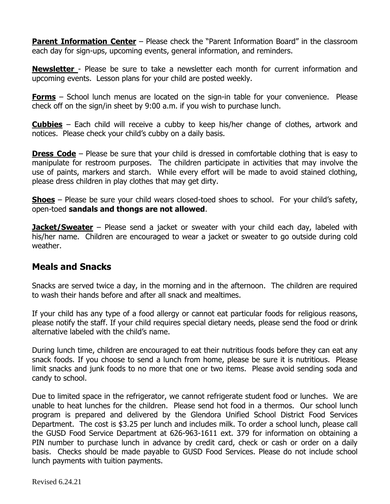**Parent Information Center** – Please check the "Parent Information Board" in the classroom each day for sign-ups, upcoming events, general information, and reminders.

**Newsletter** - Please be sure to take a newsletter each month for current information and upcoming events. Lesson plans for your child are posted weekly.

**Forms** – School lunch menus are located on the sign-in table for your convenience. Please check off on the sign/in sheet by 9:00 a.m. if you wish to purchase lunch.

**Cubbies** – Each child will receive a cubby to keep his/her change of clothes, artwork and notices. Please check your child's cubby on a daily basis.

**Dress Code** – Please be sure that your child is dressed in comfortable clothing that is easy to manipulate for restroom purposes. The children participate in activities that may involve the use of paints, markers and starch. While every effort will be made to avoid stained clothing, please dress children in play clothes that may get dirty.

**Shoes** – Please be sure your child wears closed-toed shoes to school. For your child's safety, open-toed **sandals and thongs are not allowed**.

**Jacket/Sweater** – Please send a jacket or sweater with your child each day, labeled with his/her name. Children are encouraged to wear a jacket or sweater to go outside during cold weather.

# **Meals and Snacks**

Snacks are served twice a day, in the morning and in the afternoon. The children are required to wash their hands before and after all snack and mealtimes.

If your child has any type of a food allergy or cannot eat particular foods for religious reasons, please notify the staff. If your child requires special dietary needs, please send the food or drink alternative labeled with the child's name.

During lunch time, children are encouraged to eat their nutritious foods before they can eat any snack foods. If you choose to send a lunch from home, please be sure it is nutritious. Please limit snacks and junk foods to no more that one or two items. Please avoid sending soda and candy to school.

Due to limited space in the refrigerator, we cannot refrigerate student food or lunches. We are unable to heat lunches for the children. Please send hot food in a thermos. Our school lunch program is prepared and delivered by the Glendora Unified School District Food Services Department. The cost is \$3.25 per lunch and includes milk. To order a school lunch, please call the GUSD Food Service Department at 626-963-1611 ext. 379 for information on obtaining a PIN number to purchase lunch in advance by credit card, check or cash or order on a daily basis. Checks should be made payable to GUSD Food Services. Please do not include school lunch payments with tuition payments.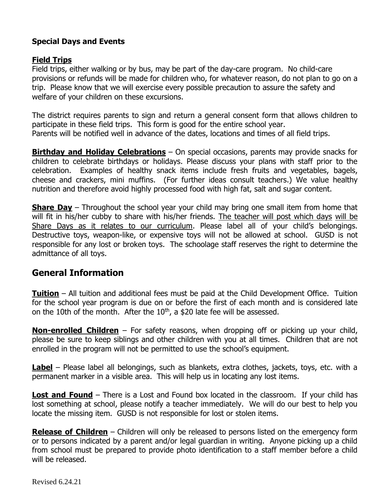## **Special Days and Events**

## **Field Trips**

Field trips, either walking or by bus, may be part of the day-care program. No child-care provisions or refunds will be made for children who, for whatever reason, do not plan to go on a trip. Please know that we will exercise every possible precaution to assure the safety and welfare of your children on these excursions.

The district requires parents to sign and return a general consent form that allows children to participate in these field trips. This form is good for the entire school year. Parents will be notified well in advance of the dates, locations and times of all field trips.

**Birthday and Holiday Celebrations** – On special occasions, parents may provide snacks for children to celebrate birthdays or holidays. Please discuss your plans with staff prior to the celebration. Examples of healthy snack items include fresh fruits and vegetables, bagels, cheese and crackers, mini muffins. (For further ideas consult teachers.) We value healthy nutrition and therefore avoid highly processed food with high fat, salt and sugar content.

**Share Day** – Throughout the school year your child may bring one small item from home that will fit in his/her cubby to share with his/her friends. The teacher will post which days will be Share Days as it relates to our curriculum. Please label all of your child's belongings. Destructive toys, weapon-like, or expensive toys will not be allowed at school. GUSD is not responsible for any lost or broken toys. The schoolage staff reserves the right to determine the admittance of all toys.

# **General Information**

**Tuition** – All tuition and additional fees must be paid at the Child Development Office. Tuition for the school year program is due on or before the first of each month and is considered late on the 10th of the month. After the  $10<sup>th</sup>$ , a \$20 late fee will be assessed.

**Non-enrolled Children** – For safety reasons, when dropping off or picking up your child, please be sure to keep siblings and other children with you at all times. Children that are not enrolled in the program will not be permitted to use the school's equipment.

**Label** – Please label all belongings, such as blankets, extra clothes, jackets, toys, etc. with a permanent marker in a visible area. This will help us in locating any lost items.

**Lost and Found** – There is a Lost and Found box located in the classroom. If your child has lost something at school, please notify a teacher immediately. We will do our best to help you locate the missing item. GUSD is not responsible for lost or stolen items.

**Release of Children** – Children will only be released to persons listed on the emergency form or to persons indicated by a parent and/or legal guardian in writing. Anyone picking up a child from school must be prepared to provide photo identification to a staff member before a child will be released.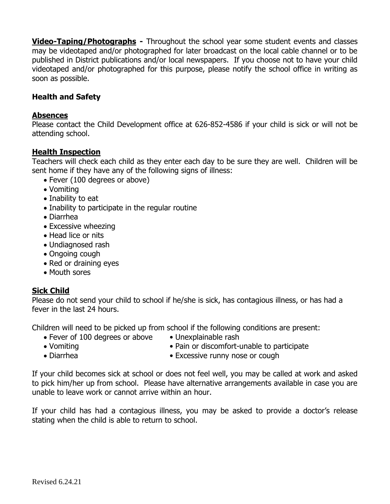**Video-Taping/Photographs -** Throughout the school year some student events and classes may be videotaped and/or photographed for later broadcast on the local cable channel or to be published in District publications and/or local newspapers. If you choose not to have your child videotaped and/or photographed for this purpose, please notify the school office in writing as soon as possible.

## **Health and Safety**

### **Absences**

Please contact the Child Development office at 626-852-4586 if your child is sick or will not be attending school.

## **Health Inspection**

Teachers will check each child as they enter each day to be sure they are well. Children will be sent home if they have any of the following signs of illness:

- Fever (100 degrees or above)
- Vomiting
- Inability to eat
- Inability to participate in the regular routine
- Diarrhea
- Excessive wheezing
- Head lice or nits
- Undiagnosed rash
- Ongoing cough
- Red or draining eyes
- Mouth sores

## **Sick Child**

Please do not send your child to school if he/she is sick, has contagious illness, or has had a fever in the last 24 hours.

Children will need to be picked up from school if the following conditions are present:

- Fever of 100 degrees or above Unexplainable rash
	-
- 
- Vomiting Vomiting Pain or discomfort-unable to participate
- 
- Diarrhea Excessive runny nose or cough

If your child becomes sick at school or does not feel well, you may be called at work and asked to pick him/her up from school. Please have alternative arrangements available in case you are unable to leave work or cannot arrive within an hour.

If your child has had a contagious illness, you may be asked to provide a doctor's release stating when the child is able to return to school.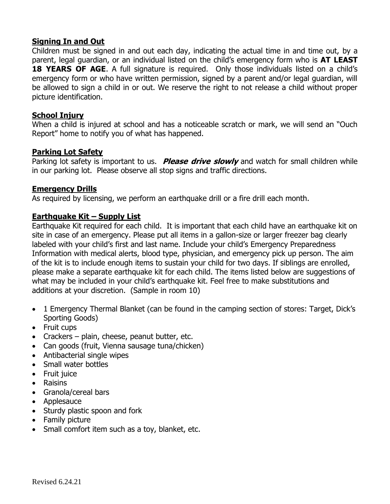## **Signing In and Out**

Children must be signed in and out each day, indicating the actual time in and time out, by a parent, legal guardian, or an individual listed on the child's emergency form who is **AT LEAST 18 YEARS OF AGE.** A full signature is required. Only those individuals listed on a child's emergency form or who have written permission, signed by a parent and/or legal guardian, will be allowed to sign a child in or out. We reserve the right to not release a child without proper picture identification.

## **School Injury**

When a child is injured at school and has a noticeable scratch or mark, we will send an "Ouch Report" home to notify you of what has happened.

## **Parking Lot Safety**

Parking lot safety is important to us. **Please drive slowly** and watch for small children while in our parking lot. Please observe all stop signs and traffic directions.

### **Emergency Drills**

As required by licensing, we perform an earthquake drill or a fire drill each month.

## **Earthquake Kit – Supply List**

Earthquake Kit required for each child. It is important that each child have an earthquake kit on site in case of an emergency. Please put all items in a gallon-size or larger freezer bag clearly labeled with your child's first and last name. Include your child's Emergency Preparedness Information with medical alerts, blood type, physician, and emergency pick up person. The aim of the kit is to include enough items to sustain your child for two days. If siblings are enrolled, please make a separate earthquake kit for each child. The items listed below are suggestions of what may be included in your child's earthquake kit. Feel free to make substitutions and additions at your discretion. (Sample in room 10)

- 1 Emergency Thermal Blanket (can be found in the camping section of stores: Target, Dick's Sporting Goods)
- Fruit cups
- Crackers plain, cheese, peanut butter, etc.
- Can goods (fruit, Vienna sausage tuna/chicken)
- Antibacterial single wipes
- Small water bottles
- Fruit juice
- Raisins
- Granola/cereal bars
- Applesauce
- Sturdy plastic spoon and fork
- Family picture
- Small comfort item such as a toy, blanket, etc.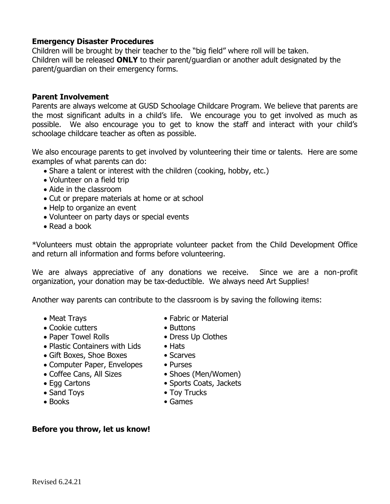## **Emergency Disaster Procedures**

Children will be brought by their teacher to the "big field" where roll will be taken. Children will be released **ONLY** to their parent/guardian or another adult designated by the parent/guardian on their emergency forms.

#### **Parent Involvement**

Parents are always welcome at GUSD Schoolage Childcare Program. We believe that parents are the most significant adults in a child's life. We encourage you to get involved as much as possible. We also encourage you to get to know the staff and interact with your child's schoolage childcare teacher as often as possible.

We also encourage parents to get involved by volunteering their time or talents. Here are some examples of what parents can do:

- Share a talent or interest with the children (cooking, hobby, etc.)
- Volunteer on a field trip
- Aide in the classroom
- Cut or prepare materials at home or at school
- Help to organize an event
- Volunteer on party days or special events
- Read a book

\*Volunteers must obtain the appropriate volunteer packet from the Child Development Office and return all information and forms before volunteering.

We are always appreciative of any donations we receive. Since we are a non-profit organization, your donation may be tax-deductible. We always need Art Supplies!

Another way parents can contribute to the classroom is by saving the following items:

- 
- Cookie cutters Buttons
- Paper Towel Rolls Dress Up Clothes
- Plastic Containers with Lids Hats
- Gift Boxes, Shoe Boxes Scarves
- Computer Paper, Envelopes Purses
- Coffee Cans, All Sizes Shoes (Men/Women)
- 
- 
- 
- Meat Trays  **Fabric or Material** 
	-
	-
	-
	-
	- -
- Egg Cartons Sports Coats, Jackets
- Sand Toys  **Toy Trucks**
- Books Games

#### **Before you throw, let us know!**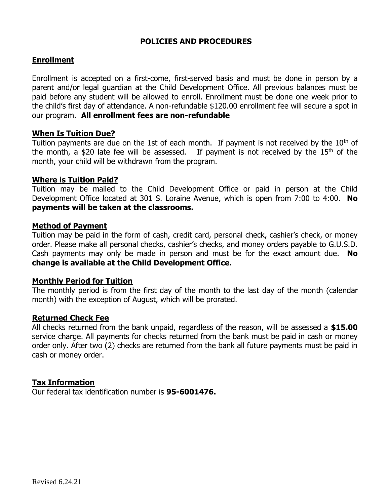#### **POLICIES AND PROCEDURES**

#### **Enrollment**

Enrollment is accepted on a first-come, first-served basis and must be done in person by a parent and/or legal guardian at the Child Development Office. All previous balances must be paid before any student will be allowed to enroll. Enrollment must be done one week prior to the child's first day of attendance. A non-refundable \$120.00 enrollment fee will secure a spot in our program. **All enrollment fees are non-refundable**

### **When Is Tuition Due?**

Tuition payments are due on the 1st of each month. If payment is not received by the  $10<sup>th</sup>$  of the month, a \$20 late fee will be assessed. If payment is not received by the  $15<sup>th</sup>$  of the month, your child will be withdrawn from the program.

### **Where is Tuition Paid?**

Tuition may be mailed to the Child Development Office or paid in person at the Child Development Office located at 301 S. Loraine Avenue, which is open from 7:00 to 4:00. **No payments will be taken at the classrooms.**

#### **Method of Payment**

Tuition may be paid in the form of cash, credit card, personal check, cashier's check, or money order. Please make all personal checks, cashier's checks, and money orders payable to G.U.S.D. Cash payments may only be made in person and must be for the exact amount due. **No change is available at the Child Development Office.** 

#### **Monthly Period for Tuition**

The monthly period is from the first day of the month to the last day of the month (calendar month) with the exception of August, which will be prorated.

#### **Returned Check Fee**

All checks returned from the bank unpaid, regardless of the reason, will be assessed a **\$15.00** service charge. All payments for checks returned from the bank must be paid in cash or money order only. After two (2) checks are returned from the bank all future payments must be paid in cash or money order.

## **Tax Information**

Our federal tax identification number is **95-6001476.**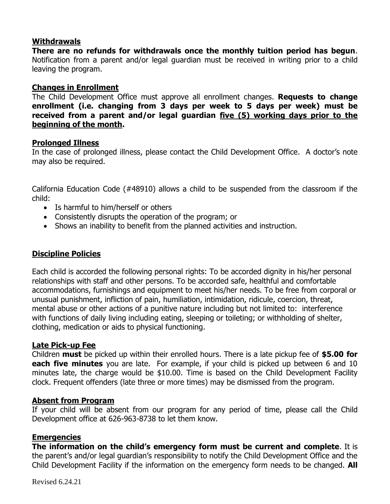## **Withdrawals**

**There are no refunds for withdrawals once the monthly tuition period has begun**. Notification from a parent and/or legal guardian must be received in writing prior to a child leaving the program.

## **Changes in Enrollment**

The Child Development Office must approve all enrollment changes. **Requests to change enrollment (i.e. changing from 3 days per week to 5 days per week) must be received from a parent and/or legal guardian five (5) working days prior to the beginning of the month.** 

### **Prolonged Illness**

In the case of prolonged illness, please contact the Child Development Office. A doctor's note may also be required.

California Education Code (#48910) allows a child to be suspended from the classroom if the child:

- Is harmful to him/herself or others
- Consistently disrupts the operation of the program; or
- Shows an inability to benefit from the planned activities and instruction.

## **Discipline Policies**

Each child is accorded the following personal rights: To be accorded dignity in his/her personal relationships with staff and other persons. To be accorded safe, healthful and comfortable accommodations, furnishings and equipment to meet his/her needs. To be free from corporal or unusual punishment, infliction of pain, humiliation, intimidation, ridicule, coercion, threat, mental abuse or other actions of a punitive nature including but not limited to: interference with functions of daily living including eating, sleeping or toileting; or withholding of shelter, clothing, medication or aids to physical functioning.

#### **Late Pick-up Fee**

Children **must** be picked up within their enrolled hours. There is a late pickup fee of **\$5.00 for each five minutes** you are late. For example, if your child is picked up between 6 and 10 minutes late, the charge would be \$10.00. Time is based on the Child Development Facility clock. Frequent offenders (late three or more times) may be dismissed from the program.

## **Absent from Program**

If your child will be absent from our program for any period of time, please call the Child Development office at 626-963-8738 to let them know.

## **Emergencies**

**The information on the child's emergency form must be current and complete**. It is the parent's and/or legal guardian's responsibility to notify the Child Development Office and the Child Development Facility if the information on the emergency form needs to be changed. **All**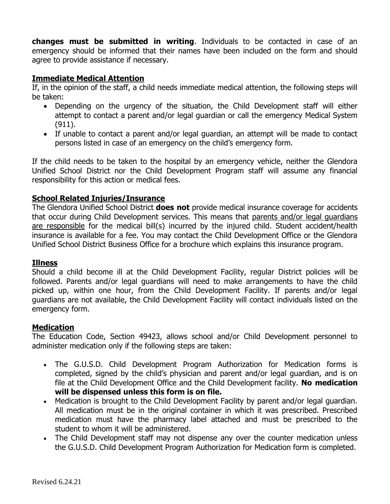**changes must be submitted in writing**. Individuals to be contacted in case of an emergency should be informed that their names have been included on the form and should agree to provide assistance if necessary.

## **Immediate Medical Attention**

If, in the opinion of the staff, a child needs immediate medical attention, the following steps will be taken:

- Depending on the urgency of the situation, the Child Development staff will either attempt to contact a parent and/or legal guardian or call the emergency Medical System (911).
- If unable to contact a parent and/or legal guardian, an attempt will be made to contact persons listed in case of an emergency on the child's emergency form.

If the child needs to be taken to the hospital by an emergency vehicle, neither the Glendora Unified School District nor the Child Development Program staff will assume any financial responsibility for this action or medical fees.

## **School Related Injuries/Insurance**

The Glendora Unified School District **does not** provide medical insurance coverage for accidents that occur during Child Development services. This means that parents and/or legal guardians are responsible for the medical bill(s) incurred by the injured child. Student accident/health insurance is available for a fee. You may contact the Child Development Office or the Glendora Unified School District Business Office for a brochure which explains this insurance program.

#### **Illness**

Should a child become ill at the Child Development Facility, regular District policies will be followed. Parents and/or legal guardians will need to make arrangements to have the child picked up, within one hour, from the Child Development Facility. If parents and/or legal guardians are not available, the Child Development Facility will contact individuals listed on the emergency form.

#### **Medication**

The Education Code, Section 49423, allows school and/or Child Development personnel to administer medication only if the following steps are taken:

- The G.U.S.D. Child Development Program Authorization for Medication forms is completed, signed by the child's physician and parent and/or legal guardian, and is on file at the Child Development Office and the Child Development facility. **No medication will be dispensed unless this form is on file.**
- Medication is brought to the Child Development Facility by parent and/or legal guardian. All medication must be in the original container in which it was prescribed. Prescribed medication must have the pharmacy label attached and must be prescribed to the student to whom it will be administered.
- The Child Development staff may not dispense any over the counter medication unless the G.U.S.D. Child Development Program Authorization for Medication form is completed.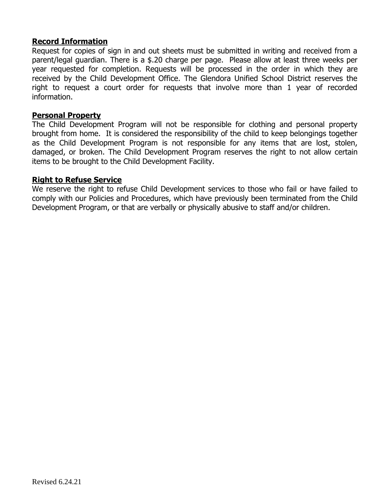### **Record Information**

Request for copies of sign in and out sheets must be submitted in writing and received from a parent/legal guardian. There is a \$.20 charge per page. Please allow at least three weeks per year requested for completion. Requests will be processed in the order in which they are received by the Child Development Office. The Glendora Unified School District reserves the right to request a court order for requests that involve more than 1 year of recorded information.

#### **Personal Property**

The Child Development Program will not be responsible for clothing and personal property brought from home. It is considered the responsibility of the child to keep belongings together as the Child Development Program is not responsible for any items that are lost, stolen, damaged, or broken. The Child Development Program reserves the right to not allow certain items to be brought to the Child Development Facility.

#### **Right to Refuse Service**

We reserve the right to refuse Child Development services to those who fail or have failed to comply with our Policies and Procedures, which have previously been terminated from the Child Development Program, or that are verbally or physically abusive to staff and/or children.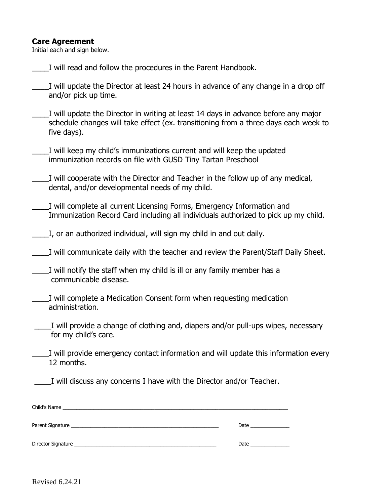#### **Care Agreement**

Initial each and sign below.

- I will read and follow the procedures in the Parent Handbook.
- \_\_\_\_I will update the Director at least 24 hours in advance of any change in a drop off and/or pick up time.
- I will update the Director in writing at least 14 days in advance before any major schedule changes will take effect (ex. transitioning from a three days each week to five days).
- I will keep my child's immunizations current and will keep the updated immunization records on file with GUSD Tiny Tartan Preschool
- \_\_\_\_I will cooperate with the Director and Teacher in the follow up of any medical, dental, and/or developmental needs of my child.
- I will complete all current Licensing Forms, Emergency Information and Immunization Record Card including all individuals authorized to pick up my child.
- \_\_\_\_I, or an authorized individual, will sign my child in and out daily.
- \_\_\_\_I will communicate daily with the teacher and review the Parent/Staff Daily Sheet.

| I will notify the staff when my child is ill or any family member has a |  |  |  |
|-------------------------------------------------------------------------|--|--|--|
| communicable disease.                                                   |  |  |  |

- I will complete a Medication Consent form when requesting medication administration.
- I will provide a change of clothing and, diapers and/or pull-ups wipes, necessary for my child's care.
- \_\_\_\_I will provide emergency contact information and will update this information every 12 months.

I will discuss any concerns I have with the Director and/or Teacher.

|                                                                                                                 | Date _________________ |
|-----------------------------------------------------------------------------------------------------------------|------------------------|
| Director Signature et al. 2016. The contract of the contract of the contract of the contract of the contract of | Date $\qquad \qquad$   |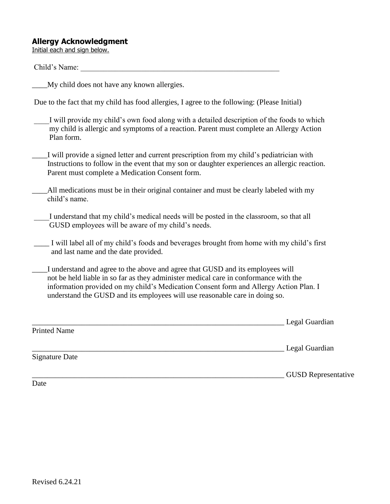#### **Allergy Acknowledgment**

Initial each and sign below.

#### Child's Name:

\_\_\_\_My child does not have any known allergies.

Due to the fact that my child has food allergies, I agree to the following: (Please Initial)

I will provide my child's own food along with a detailed description of the foods to which my child is allergic and symptoms of a reaction. Parent must complete an Allergy Action Plan form.

I will provide a signed letter and current prescription from my child's pediatrician with Instructions to follow in the event that my son or daughter experiences an allergic reaction. Parent must complete a Medication Consent form.

- \_\_\_\_All medications must be in their original container and must be clearly labeled with my child's name.
- I understand that my child's medical needs will be posted in the classroom, so that all GUSD employees will be aware of my child's needs.
- \_\_\_\_ I will label all of my child's foods and beverages brought from home with my child's first and last name and the date provided.
- \_\_\_\_I understand and agree to the above and agree that GUSD and its employees will not be held liable in so far as they administer medical care in conformance with the information provided on my child's Medication Consent form and Allergy Action Plan. I understand the GUSD and its employees will use reasonable care in doing so.

|                       | Legal Guardian |
|-----------------------|----------------|
| <b>Printed Name</b>   |                |
|                       | Legal Guardian |
| <b>Signature Date</b> |                |

\_\_\_\_\_\_\_\_\_\_\_\_\_\_\_\_\_\_\_\_\_\_\_\_\_\_\_\_\_\_\_\_\_\_\_\_\_\_\_\_\_\_\_\_\_\_\_\_\_\_\_\_\_\_\_\_\_\_\_\_\_\_\_\_\_\_ GUSD Representative

Date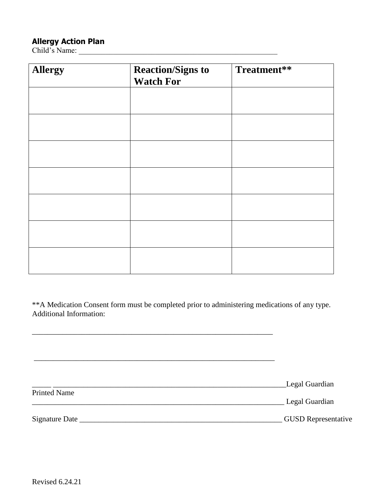## **Allergy Action Plan**

Child's Name: \_\_\_\_\_\_\_\_\_\_\_\_\_\_\_\_\_\_\_\_\_\_\_\_\_\_\_\_\_\_\_\_\_\_\_\_\_\_\_\_\_\_\_\_\_\_\_\_\_\_\_\_

| <b>Allergy</b> | <b>Reaction/Signs to</b><br><b>Watch For</b> | Treatment** |
|----------------|----------------------------------------------|-------------|
|                |                                              |             |
|                |                                              |             |
|                |                                              |             |
|                |                                              |             |
|                |                                              |             |
|                |                                              |             |
|                |                                              |             |

\*\*A Medication Consent form must be completed prior to administering medications of any type. Additional Information:

\_\_\_\_\_\_\_\_\_\_\_\_\_\_\_\_\_\_\_\_\_\_\_\_\_\_\_\_\_\_\_\_\_\_\_\_\_\_\_\_\_\_\_\_\_\_\_\_\_\_\_\_\_\_\_\_\_\_\_\_\_\_\_

|                     | Legal Guardian             |
|---------------------|----------------------------|
| <b>Printed Name</b> |                            |
|                     | Legal Guardian             |
|                     |                            |
| Signature Date      | <b>GUSD Representative</b> |